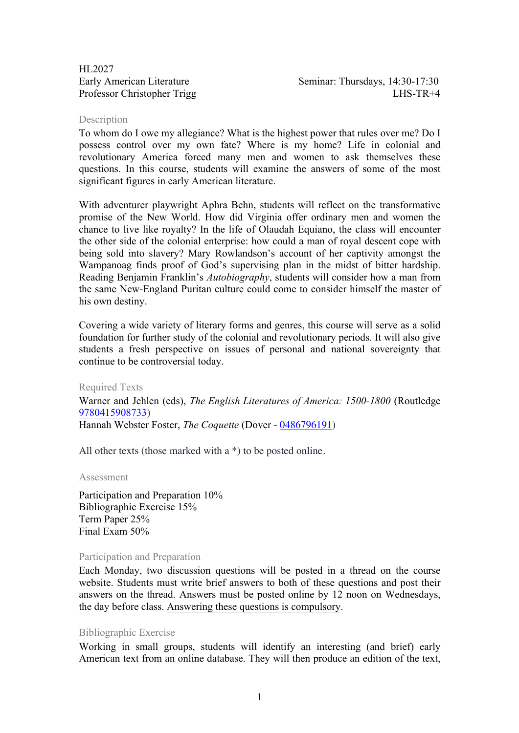HL2027

Early American Literature Seminar: Thursdays, 14:30-17:30 Professor Christopher Trigg LHS-TR+4

#### **Description**

To whom do I owe my allegiance? What is the highest power that rules over me? Do I possess control over my own fate? Where is my home? Life in colonial and revolutionary America forced many men and women to ask themselves these questions. In this course, students will examine the answers of some of the most significant figures in early American literature.

With adventurer playwright Aphra Behn, students will reflect on the transformative promise of the New World. How did Virginia offer ordinary men and women the chance to live like royalty? In the life of Olaudah Equiano, the class will encounter the other side of the colonial enterprise: how could a man of royal descent cope with being sold into slavery? Mary Rowlandson's account of her captivity amongst the Wampanoag finds proof of God's supervising plan in the midst of bitter hardship. Reading Benjamin Franklin's *Autobiography*, students will consider how a man from the same New-England Puritan culture could come to consider himself the master of his own destiny.

Covering a wide variety of literary forms and genres, this course will serve as a solid foundation for further study of the colonial and revolutionary periods. It will also give students a fresh perspective on issues of personal and national sovereignty that continue to be controversial today.

Required Texts

Warner and Jehlen (eds), *The English Literatures of America: 1500-1800* (Routledge 9780415908733) Hannah Webster Foster, *The Coquette* (Dover - 0486796191)

All other texts (those marked with a \*) to be posted online.

Assessment

Participation and Preparation 10% Bibliographic Exercise 15% Term Paper 25% Final Exam 50%

#### Participation and Preparation

Each Monday, two discussion questions will be posted in a thread on the course website. Students must write brief answers to both of these questions and post their answers on the thread. Answers must be posted online by 12 noon on Wednesdays, the day before class. Answering these questions is compulsory.

### Bibliographic Exercise

Working in small groups, students will identify an interesting (and brief) early American text from an online database. They will then produce an edition of the text,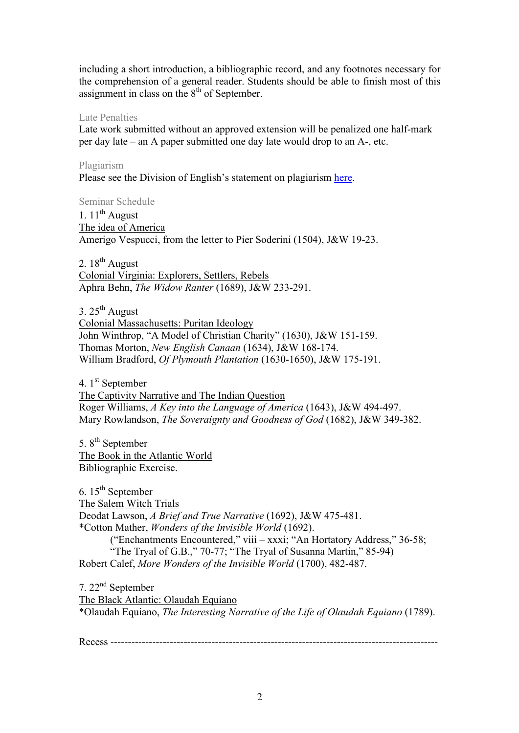including a short introduction, a bibliographic record, and any footnotes necessary for the comprehension of a general reader. Students should be able to finish most of this assignment in class on the  $8<sup>th</sup>$  of September.

## Late Penalties

Late work submitted without an approved extension will be penalized one half-mark per day late – an A paper submitted one day late would drop to an A-, etc.

# Plagiarism

Please see the Division of English's statement on plagiarism here.

Seminar Schedule

1.  $11^{th}$  August The idea of America Amerigo Vespucci, from the letter to Pier Soderini (1504), J&W 19-23.

2.  $18^{th}$  August Colonial Virginia: Explorers, Settlers, Rebels Aphra Behn, *The Widow Ranter* (1689), J&W 233-291.

3.  $25<sup>th</sup>$  August Colonial Massachusetts: Puritan Ideology John Winthrop, "A Model of Christian Charity" (1630), J&W 151-159. Thomas Morton, *New English Canaan* (1634), J&W 168-174. William Bradford, *Of Plymouth Plantation* (1630-1650), J&W 175-191.

4. 1<sup>st</sup> September The Captivity Narrative and The Indian Question Roger Williams, *A Key into the Language of America* (1643), J&W 494-497. Mary Rowlandson, *The Soveraignty and Goodness of God* (1682), J&W 349-382.

5.  $8<sup>th</sup>$  September The Book in the Atlantic World Bibliographic Exercise.

6.  $15<sup>th</sup>$  September The Salem Witch Trials Deodat Lawson, *A Brief and True Narrative* (1692), J&W 475-481. \*Cotton Mather, *Wonders of the Invisible World* (1692). ("Enchantments Encountered," viii – xxxi; "An Hortatory Address," 36-58; "The Tryal of G.B.," 70-77; "The Tryal of Susanna Martin," 85-94) Robert Calef, *More Wonders of the Invisible World* (1700), 482-487.

7. 22nd September The Black Atlantic: Olaudah Equiano \*Olaudah Equiano, *The Interesting Narrative of the Life of Olaudah Equiano* (1789).

Recess ----------------------------------------------------------------------------------------------